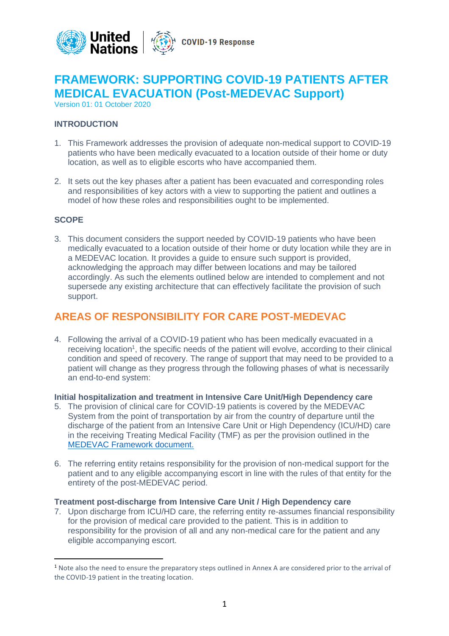

# **FRAMEWORK: SUPPORTING COVID-19 PATIENTS AFTER MEDICAL EVACUATION (Post-MEDEVAC Support)**

Version 01: 01 October 2020

# **INTRODUCTION**

- 1. This Framework addresses the provision of adequate non-medical support to COVID-19 patients who have been medically evacuated to a location outside of their home or duty location, as well as to eligible escorts who have accompanied them.
- 2. It sets out the key phases after a patient has been evacuated and corresponding roles and responsibilities of key actors with a view to supporting the patient and outlines a model of how these roles and responsibilities ought to be implemented.

### **SCOPE**

3. This document considers the support needed by COVID-19 patients who have been medically evacuated to a location outside of their home or duty location while they are in a MEDEVAC location. It provides a guide to ensure such support is provided, acknowledging the approach may differ between locations and may be tailored accordingly. As such the elements outlined below are intended to complement and not supersede any existing architecture that can effectively facilitate the provision of such support.

# **AREAS OF RESPONSIBILITY FOR CARE POST-MEDEVAC**

4. Following the arrival of a COVID-19 patient who has been medically evacuated in a receiving location<sup>1</sup>, the specific needs of the patient will evolve, according to their clinical condition and speed of recovery. The range of support that may need to be provided to a patient will change as they progress through the following phases of what is necessarily an end-to-end system:

### **Initial hospitalization and treatment in Intensive Care Unit/High Dependency care**

- 5. The provision of clinical care for COVID-19 patients is covered by the MEDEVAC System from the point of transportation by air from the country of departure until the discharge of the patient from an Intensive Care Unit or High Dependency (ICU/HD) care in the receiving Treating Medical Facility (TMF) as per the provision outlined in the [MEDEVAC Framework document.](https://www.un.org/sites/un2.un.org/files/covid-19_medevac_framework_document_160720.pdf)
- 6. The referring entity retains responsibility for the provision of non-medical support for the patient and to any eligible accompanying escort in line with the rules of that entity for the entirety of the post-MEDEVAC period.

# **Treatment post-discharge from Intensive Care Unit / High Dependency care**

7. Upon discharge from ICU/HD care, the referring entity re-assumes financial responsibility for the provision of medical care provided to the patient. This is in addition to responsibility for the provision of all and any non-medical care for the patient and any eligible accompanying escort.

<sup>1</sup> Note also the need to ensure the preparatory steps outlined in Annex A are considered prior to the arrival of the COVID-19 patient in the treating location.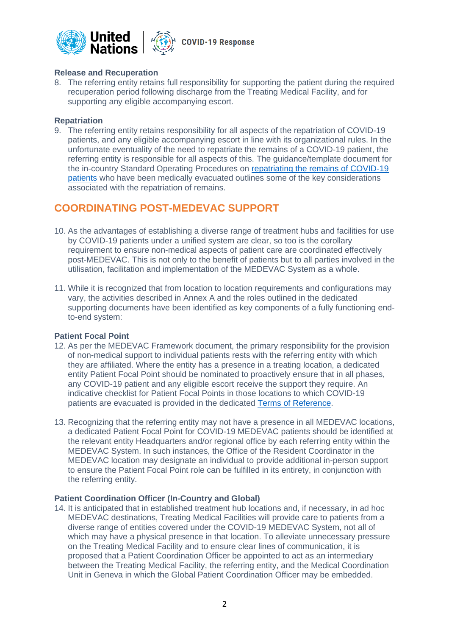

# **Release and Recuperation**

8. The referring entity retains full responsibility for supporting the patient during the required recuperation period following discharge from the Treating Medical Facility, and for supporting any eligible accompanying escort.

### **Repatriation**

9. The referring entity retains responsibility for all aspects of the repatriation of COVID-19 patients, and any eligible accompanying escort in line with its organizational rules. In the unfortunate eventuality of the need to repatriate the remains of a COVID-19 patient, the referring entity is responsible for all aspects of this. The guidance/template document for the in-country Standard Operating Procedures on [repatriating the remains of COVID-19](https://www.un.org/sites/un2.un.org/files/sop_framework_covid-19_repatriation_of_remains.pdf)  [patients](https://www.un.org/sites/un2.un.org/files/sop_framework_covid-19_repatriation_of_remains.pdf) who have been medically evacuated outlines some of the key considerations associated with the repatriation of remains.

# **COORDINATING POST-MEDEVAC SUPPORT**

- 10. As the advantages of establishing a diverse range of treatment hubs and facilities for use by COVID-19 patients under a unified system are clear, so too is the corollary requirement to ensure non-medical aspects of patient care are coordinated effectively post-MEDEVAC. This is not only to the benefit of patients but to all parties involved in the utilisation, facilitation and implementation of the MEDEVAC System as a whole.
- 11. While it is recognized that from location to location requirements and configurations may vary, the activities described in Annex A and the roles outlined in the dedicated supporting documents have been identified as key components of a fully functioning endto-end system:

# **Patient Focal Point**

- 12. As per the MEDEVAC Framework document, the primary responsibility for the provision of non-medical support to individual patients rests with the referring entity with which they are affiliated. Where the entity has a presence in a treating location, a dedicated entity Patient Focal Point should be nominated to proactively ensure that in all phases, any COVID-19 patient and any eligible escort receive the support they require. An indicative checklist for Patient Focal Points in those locations to which COVID-19 patients are evacuated is provided in the dedicated [Terms of Reference.](https://www.un.org/sites/un2.un.org/files/terms_of_reference_for_patient_focal_points_in_the_post-medevac_support_process.pdf)
- 13. Recognizing that the referring entity may not have a presence in all MEDEVAC locations, a dedicated Patient Focal Point for COVID-19 MEDEVAC patients should be identified at the relevant entity Headquarters and/or regional office by each referring entity within the MEDEVAC System. In such instances, the Office of the Resident Coordinator in the MEDEVAC location may designate an individual to provide additional in-person support to ensure the Patient Focal Point role can be fulfilled in its entirety, in conjunction with the referring entity.

# **Patient Coordination Officer (In-Country and Global)**

14. It is anticipated that in established treatment hub locations and, if necessary, in ad hoc MEDEVAC destinations, Treating Medical Facilities will provide care to patients from a diverse range of entities covered under the COVID-19 MEDEVAC System, not all of which may have a physical presence in that location. To alleviate unnecessary pressure on the Treating Medical Facility and to ensure clear lines of communication, it is proposed that a Patient Coordination Officer be appointed to act as an intermediary between the Treating Medical Facility, the referring entity, and the Medical Coordination Unit in Geneva in which the Global Patient Coordination Officer may be embedded.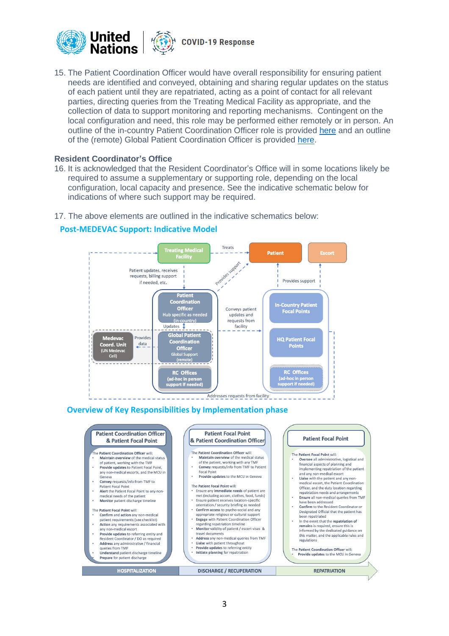

15. The Patient Coordination Officer would have overall responsibility for ensuring patient needs are identified and conveyed, obtaining and sharing regular updates on the status of each patient until they are repatriated, acting as a point of contact for all relevant parties, directing queries from the Treating Medical Facility as appropriate, and the collection of data to support monitoring and reporting mechanisms. Contingent on the local configuration and need, this role may be performed either remotely or in person. An outline of the in-country Patient Coordination Officer role is provided [here](https://www.un.org/sites/un2.un.org/files/terms_of_reference_for_the_in-country_patient_coordination_officer_in_the_post-medevac_support_process.pdf) and an outline of the (remote) Global Patient Coordination Officer is provided [here.](https://www.un.org/sites/un2.un.org/files/terms_of_reference_for_the_global_patient_coordination_officer_in_the_post-medevac_support_process.pdf)

### **Resident Coordinator's Office**

- 16. It is acknowledged that the Resident Coordinator's Office will in some locations likely be required to assume a supplementary or supporting role, depending on the local configuration, local capacity and presence. See the indicative schematic below for indications of where such support may be required.
- 17. The above elements are outlined in the indicative schematics below:

# **Post-MEDEVAC Support: Indicative Model**



### **Overview of Key Responsibilities by Implementation phase**

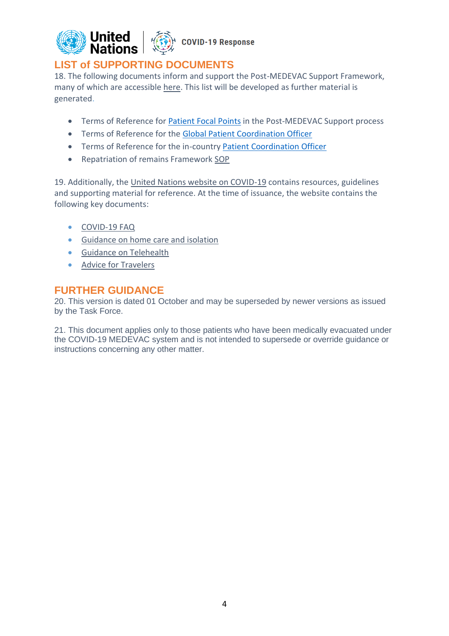

# **LIST of SUPPORTING DOCUMENTS**

18. The following documents inform and support the Post-MEDEVAC Support Framework, many of which are accessible [here.](https://www.un.org/en/coronavirus/covid-19-coordinators) This list will be developed as further material is generated.

- Terms of Reference for [Patient Focal Points](https://www.un.org/sites/un2.un.org/files/terms_of_reference_for_patient_focal_points_in_the_post-medevac_support_process.pdf) in the Post-MEDEVAC Support process
- Terms of Reference for the [Global Patient Coordination Officer](https://www.un.org/sites/un2.un.org/files/terms_of_reference_for_the_global_patient_coordination_officer_in_the_post-medevac_support_process.pdf)
- Terms of Reference for the in-country [Patient Coordination Officer](https://www.un.org/sites/un2.un.org/files/terms_of_reference_for_the_in-country_patient_coordination_officer_in_the_post-medevac_support_process.pdf)
- Repatriation of remains Framework [SOP](https://www.un.org/sites/un2.un.org/files/sop_framework_covid-19_repatriation_of_remains.pdf)

19. Additionally, the [United Nations website on COVID-19](https://www.un.org/en/coronavirus/staff) contains resources, guidelines and supporting material for reference. At the time of issuance, the website contains the following key documents:

- [COVID-19 FAQ](https://www.un.org/en/coronavirus/covid-19-faqs)
- [Guidance on home care and isolation](https://www.un.org/en/coronavirus/home-care-and-isolation)
- [Guidance on Telehealth](https://www.un.org/en/coronavirus/telehealth)
- [Advice for Travelers](https://www.un.org/en/coronavirus/un-managers-who-approve-travel-areas-ongoing-transmission-covid-19)

# **FURTHER GUIDANCE**

20. This version is dated 01 October and may be superseded by newer versions as issued by the Task Force.

21. This document applies only to those patients who have been medically evacuated under the COVID-19 MEDEVAC system and is not intended to supersede or override guidance or instructions concerning any other matter.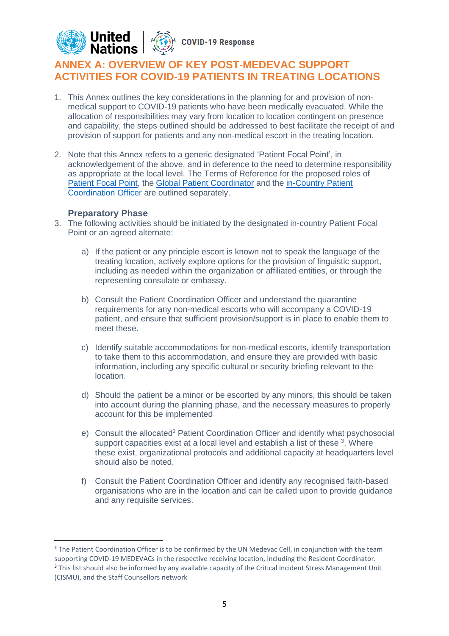

# **ANNEX A: OVERVIEW OF KEY POST-MEDEVAC SUPPORT ACTIVITIES FOR COVID-19 PATIENTS IN TREATING LOCATIONS**

- 1. This Annex outlines the key considerations in the planning for and provision of nonmedical support to COVID-19 patients who have been medically evacuated. While the allocation of responsibilities may vary from location to location contingent on presence and capability, the steps outlined should be addressed to best facilitate the receipt of and provision of support for patients and any non-medical escort in the treating location.
- 2. Note that this Annex refers to a generic designated 'Patient Focal Point', in acknowledgement of the above, and in deference to the need to determine responsibility as appropriate at the local level. The Terms of Reference for the proposed roles of Patient [Focal Point,](https://www.un.org/sites/un2.un.org/files/terms_of_reference_for_patient_focal_points_in_the_post-medevac_support_process.pdf) the [Global Patient Coordinator](https://www.un.org/sites/un2.un.org/files/terms_of_reference_for_the_global_patient_coordination_officer_in_the_post-medevac_support_process.pdf) and the in-Country Patient [Coordination Officer](https://www.un.org/sites/un2.un.org/files/terms_of_reference_for_the_in-country_patient_coordination_officer_in_the_post-medevac_support_process.pdf) are outlined separately.

# **Preparatory Phase**

- 3. The following activities should be initiated by the designated in-country Patient Focal Point or an agreed alternate:
	- a) If the patient or any principle escort is known not to speak the language of the treating location, actively explore options for the provision of linguistic support, including as needed within the organization or affiliated entities, or through the representing consulate or embassy.
	- b) Consult the Patient Coordination Officer and understand the quarantine requirements for any non-medical escorts who will accompany a COVID-19 patient, and ensure that sufficient provision/support is in place to enable them to meet these.
	- c) Identify suitable accommodations for non-medical escorts, identify transportation to take them to this accommodation, and ensure they are provided with basic information, including any specific cultural or security briefing relevant to the location.
	- d) Should the patient be a minor or be escorted by any minors, this should be taken into account during the planning phase, and the necessary measures to properly account for this be implemented
	- e) Consult the allocated<sup>2</sup> Patient Coordination Officer and identify what psychosocial support capacities exist at a local level and establish a list of these  $3$ . Where these exist, organizational protocols and additional capacity at headquarters level should also be noted.
	- f) Consult the Patient Coordination Officer and identify any recognised faith-based organisations who are in the location and can be called upon to provide guidance and any requisite services.

<sup>&</sup>lt;sup>2</sup> The Patient Coordination Officer is to be confirmed by the UN Medevac Cell, in conjunction with the team supporting COVID-19 MEDEVACs in the respective receiving location, including the Resident Coordinator. <sup>3</sup> This list should also be informed by any available capacity of the Critical Incident Stress Management Unit (CISMU), and the Staff Counsellors network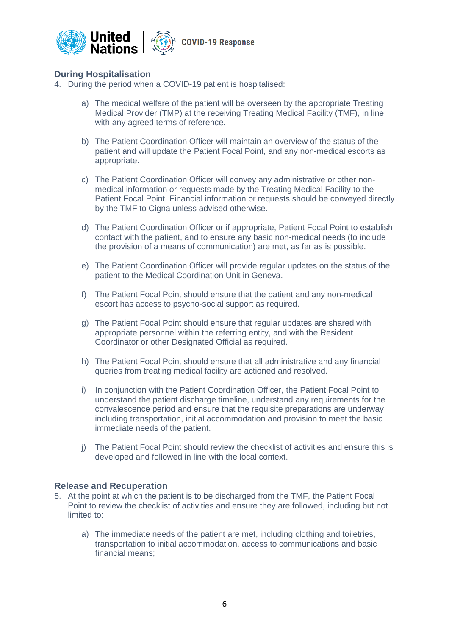

# **During Hospitalisation**

- 4. During the period when a COVID-19 patient is hospitalised:
	- a) The medical welfare of the patient will be overseen by the appropriate Treating Medical Provider (TMP) at the receiving Treating Medical Facility (TMF), in line with any agreed terms of reference.
	- b) The Patient Coordination Officer will maintain an overview of the status of the patient and will update the Patient Focal Point, and any non-medical escorts as appropriate.
	- c) The Patient Coordination Officer will convey any administrative or other nonmedical information or requests made by the Treating Medical Facility to the Patient Focal Point. Financial information or requests should be conveyed directly by the TMF to Cigna unless advised otherwise.
	- d) The Patient Coordination Officer or if appropriate, Patient Focal Point to establish contact with the patient, and to ensure any basic non-medical needs (to include the provision of a means of communication) are met, as far as is possible.
	- e) The Patient Coordination Officer will provide regular updates on the status of the patient to the Medical Coordination Unit in Geneva.
	- f) The Patient Focal Point should ensure that the patient and any non-medical escort has access to psycho-social support as required.
	- g) The Patient Focal Point should ensure that regular updates are shared with appropriate personnel within the referring entity, and with the Resident Coordinator or other Designated Official as required.
	- h) The Patient Focal Point should ensure that all administrative and any financial queries from treating medical facility are actioned and resolved.
	- i) In conjunction with the Patient Coordination Officer, the Patient Focal Point to understand the patient discharge timeline, understand any requirements for the convalescence period and ensure that the requisite preparations are underway, including transportation, initial accommodation and provision to meet the basic immediate needs of the patient.
	- j) The Patient Focal Point should review the checklist of activities and ensure this is developed and followed in line with the local context.

# **Release and Recuperation**

- 5. At the point at which the patient is to be discharged from the TMF, the Patient Focal Point to review the checklist of activities and ensure they are followed, including but not limited to:
	- a) The immediate needs of the patient are met, including clothing and toiletries, transportation to initial accommodation, access to communications and basic financial means;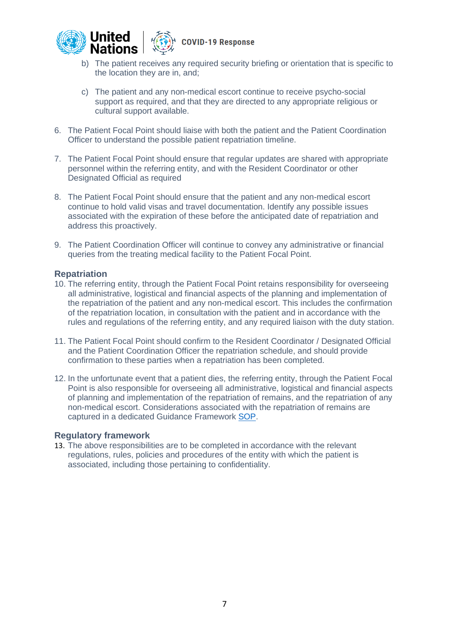



**COVID-19 Response** 

- b) The patient receives any required security briefing or orientation that is specific to the location they are in, and;
- c) The patient and any non-medical escort continue to receive psycho-social support as required, and that they are directed to any appropriate religious or cultural support available.
- 6. The Patient Focal Point should liaise with both the patient and the Patient Coordination Officer to understand the possible patient repatriation timeline.
- 7. The Patient Focal Point should ensure that regular updates are shared with appropriate personnel within the referring entity, and with the Resident Coordinator or other Designated Official as required
- 8. The Patient Focal Point should ensure that the patient and any non-medical escort continue to hold valid visas and travel documentation. Identify any possible issues associated with the expiration of these before the anticipated date of repatriation and address this proactively.
- 9. The Patient Coordination Officer will continue to convey any administrative or financial queries from the treating medical facility to the Patient Focal Point.

# **Repatriation**

- 10. The referring entity, through the Patient Focal Point retains responsibility for overseeing all administrative, logistical and financial aspects of the planning and implementation of the repatriation of the patient and any non-medical escort. This includes the confirmation of the repatriation location, in consultation with the patient and in accordance with the rules and regulations of the referring entity, and any required liaison with the duty station.
- 11. The Patient Focal Point should confirm to the Resident Coordinator / Designated Official and the Patient Coordination Officer the repatriation schedule, and should provide confirmation to these parties when a repatriation has been completed.
- 12. In the unfortunate event that a patient dies, the referring entity, through the Patient Focal Point is also responsible for overseeing all administrative, logistical and financial aspects of planning and implementation of the repatriation of remains, and the repatriation of any non-medical escort. Considerations associated with the repatriation of remains are captured in a dedicated Guidance Framework [SOP.](https://www.un.org/sites/un2.un.org/files/sop_framework_covid-19_repatriation_of_remains.pdf)

# **Regulatory framework**

13. The above responsibilities are to be completed in accordance with the relevant regulations, rules, policies and procedures of the entity with which the patient is associated, including those pertaining to confidentiality.